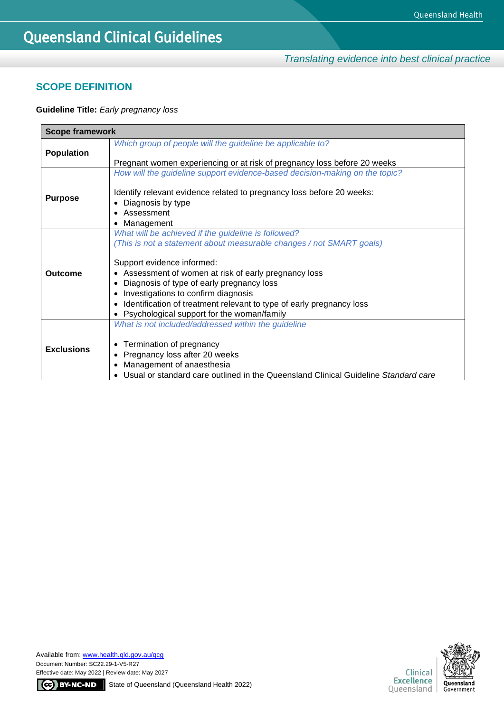*Translating evidence into best clinical practice*

## **SCOPE DEFINITION**

## **Guideline Title:** *Early pregnancy loss*

| <b>Scope framework</b> |                                                                                                                                                                                         |  |  |
|------------------------|-----------------------------------------------------------------------------------------------------------------------------------------------------------------------------------------|--|--|
| <b>Population</b>      | Which group of people will the guideline be applicable to?                                                                                                                              |  |  |
|                        | Pregnant women experiencing or at risk of pregnancy loss before 20 weeks                                                                                                                |  |  |
| <b>Purpose</b>         | How will the guideline support evidence-based decision-making on the topic?<br>Identify relevant evidence related to pregnancy loss before 20 weeks:<br>Diagnosis by type<br>Assessment |  |  |
|                        | Management                                                                                                                                                                              |  |  |
|                        | What will be achieved if the guideline is followed?<br>(This is not a statement about measurable changes / not SMART goals)                                                             |  |  |
|                        | Support evidence informed:                                                                                                                                                              |  |  |
| <b>Outcome</b>         | Assessment of women at risk of early pregnancy loss<br>$\bullet$                                                                                                                        |  |  |
|                        | Diagnosis of type of early pregnancy loss                                                                                                                                               |  |  |
|                        | Investigations to confirm diagnosis                                                                                                                                                     |  |  |
|                        | Identification of treatment relevant to type of early pregnancy loss<br>$\bullet$                                                                                                       |  |  |
|                        | Psychological support for the woman/family                                                                                                                                              |  |  |
|                        | What is not included/addressed within the guideline                                                                                                                                     |  |  |
| <b>Exclusions</b>      | Termination of pregnancy<br>٠                                                                                                                                                           |  |  |
|                        | Pregnancy loss after 20 weeks<br>$\bullet$                                                                                                                                              |  |  |
|                        | Management of anaesthesia                                                                                                                                                               |  |  |
|                        | Usual or standard care outlined in the Queensland Clinical Guideline Standard care                                                                                                      |  |  |